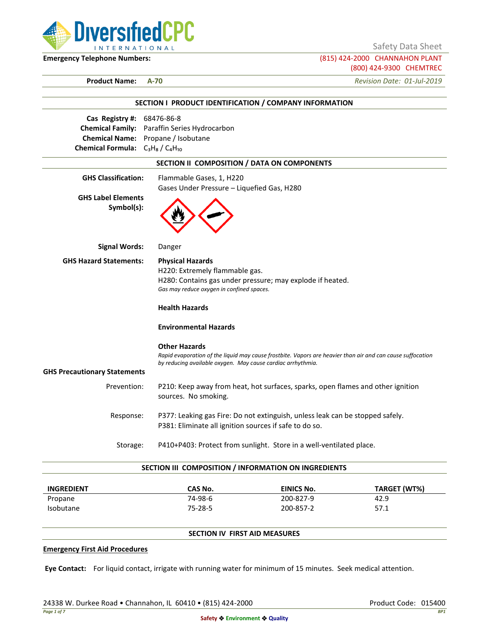

Safety Data Sheet

**Emergency Telephone Numbers:** (815) 424-2000 CHANNAHON PLANT (800) 424-9300 CHEMTREC

**Product Name: A-70** *Revision Date: 01-Jul-2019*

|                                                                                           | SECTION I PRODUCT IDENTIFICATION / COMPANY INFORMATION                                                                                                                    |  |
|-------------------------------------------------------------------------------------------|---------------------------------------------------------------------------------------------------------------------------------------------------------------------------|--|
| Cas Registry #: 68476-86-8                                                                |                                                                                                                                                                           |  |
| <b>Chemical Family:</b> Paraffin Series Hydrocarbon<br>Chemical Name: Propane / Isobutane |                                                                                                                                                                           |  |
| Chemical Formula: $C_3H_8/C_4H_{10}$                                                      |                                                                                                                                                                           |  |
|                                                                                           | SECTION II COMPOSITION / DATA ON COMPONENTS                                                                                                                               |  |
|                                                                                           |                                                                                                                                                                           |  |
| <b>GHS Classification:</b>                                                                | Flammable Gases, 1, H220<br>Gases Under Pressure - Liquefied Gas, H280                                                                                                    |  |
| <b>GHS Label Elements</b><br>Symbol(s):                                                   |                                                                                                                                                                           |  |
| <b>Signal Words:</b>                                                                      | Danger                                                                                                                                                                    |  |
| <b>GHS Hazard Statements:</b>                                                             | <b>Physical Hazards</b>                                                                                                                                                   |  |
|                                                                                           | H220: Extremely flammable gas.                                                                                                                                            |  |
|                                                                                           | H280: Contains gas under pressure; may explode if heated.                                                                                                                 |  |
|                                                                                           | Gas may reduce oxygen in confined spaces.                                                                                                                                 |  |
|                                                                                           | <b>Health Hazards</b>                                                                                                                                                     |  |
|                                                                                           | <b>Environmental Hazards</b>                                                                                                                                              |  |
|                                                                                           | <b>Other Hazards</b>                                                                                                                                                      |  |
|                                                                                           | Rapid evaporation of the liquid may cause frostbite. Vapors are heavier than air and can cause suffocation<br>by reducing available oxygen. May cause cardiac arrhythmia. |  |
| <b>GHS Precautionary Statements</b>                                                       |                                                                                                                                                                           |  |
| Prevention:                                                                               | P210: Keep away from heat, hot surfaces, sparks, open flames and other ignition                                                                                           |  |
|                                                                                           | sources. No smoking.                                                                                                                                                      |  |
| Response:                                                                                 | P377: Leaking gas Fire: Do not extinguish, unless leak can be stopped safely.                                                                                             |  |
|                                                                                           | P381: Eliminate all ignition sources if safe to do so.                                                                                                                    |  |
| Storage:                                                                                  | P410+P403: Protect from sunlight. Store in a well-ventilated place.                                                                                                       |  |

| <b>INGREDIENT</b> | CAS No. | EINICS No. | TARGET (WT%) |
|-------------------|---------|------------|--------------|
| Propane           | 74-98-6 | 200-827-9  | 42.9         |
| <b>Isobutane</b>  | 75-28-5 | 200-857-2  | 57.1         |

## **SECTION IV FIRST AID MEASURES**

#### **Emergency First Aid Procedures**

**Eye Contact:** For liquid contact, irrigate with running water for minimum of 15 minutes. Seek medical attention.

24338 W. Durkee Road • Channahon, IL 60410 • (815) 424-2000 Product Code: 015400 Product Code: 015400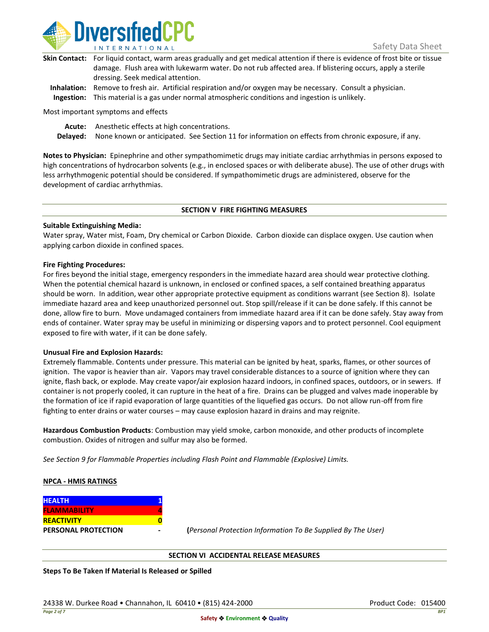

| Skin Contact: For liquid contact, warm areas gradually and get medical attention if there is evidence of frost bite or tissue |
|-------------------------------------------------------------------------------------------------------------------------------|
| damage. Flush area with lukewarm water. Do not rub affected area. If blistering occurs, apply a sterile                       |
| dressing. Seek medical attention.                                                                                             |
|                                                                                                                               |

**Inhalation:** Remove to fresh air. Artificial respiration and/or oxygen may be necessary. Consult a physician. **Ingestion:** This material is a gas under normal atmospheric conditions and ingestion is unlikely.

Most important symptoms and effects

**Acute:** Anesthetic effects at high concentrations.

**Delayed:** None known or anticipated. See Section 11 for information on effects from chronic exposure, if any.

**Notes to Physician:** Epinephrine and other sympathomimetic drugs may initiate cardiac arrhythmias in persons exposed to high concentrations of hydrocarbon solvents (e.g., in enclosed spaces or with deliberate abuse). The use of other drugs with less arrhythmogenic potential should be considered. If sympathomimetic drugs are administered, observe for the development of cardiac arrhythmias.

### **SECTION V FIRE FIGHTING MEASURES**

### **Suitable Extinguishing Media:**

Water spray, Water mist, Foam, Dry chemical or Carbon Dioxide. Carbon dioxide can displace oxygen. Use caution when applying carbon dioxide in confined spaces.

### **Fire Fighting Procedures:**

For fires beyond the initial stage, emergency responders in the immediate hazard area should wear protective clothing. When the potential chemical hazard is unknown, in enclosed or confined spaces, a self contained breathing apparatus should be worn. In addition, wear other appropriate protective equipment as conditions warrant (see Section 8). Isolate immediate hazard area and keep unauthorized personnel out. Stop spill/release if it can be done safely. If this cannot be done, allow fire to burn. Move undamaged containers from immediate hazard area if it can be done safely. Stay away from ends of container. Water spray may be useful in minimizing or dispersing vapors and to protect personnel. Cool equipment exposed to fire with water, if it can be done safely.

### **Unusual Fire and Explosion Hazards:**

Extremely flammable. Contents under pressure. This material can be ignited by heat, sparks, flames, or other sources of ignition. The vapor is heavier than air. Vapors may travel considerable distances to a source of ignition where they can ignite, flash back, or explode. May create vapor/air explosion hazard indoors, in confined spaces, outdoors, or in sewers. If container is not properly cooled, it can rupture in the heat of a fire. Drains can be plugged and valves made inoperable by the formation of ice if rapid evaporation of large quantities of the liquefied gas occurs. Do not allow run-off from fire fighting to enter drains or water courses – may cause explosion hazard in drains and may reignite.

**Hazardous Combustion Products**: Combustion may yield smoke, carbon monoxide, and other products of incomplete combustion. Oxides of nitrogen and sulfur may also be formed.

*See Section 9 for Flammable Properties including Flash Point and Flammable (Explosive) Limits.*

### **NPCA - HMIS RATINGS**

| <b>HEALTH</b>              |  |
|----------------------------|--|
| <b>FLAMMABILITY</b>        |  |
| <b>REACTIVITY</b>          |  |
| <b>PERSONAL PROTECTION</b> |  |

**PERSONAL PROTECTION - (***Personal Protection Information To Be Supplied By The User)*

### **SECTION VI ACCIDENTAL RELEASE MEASURES**

**Steps To Be Taken If Material Is Released or Spilled**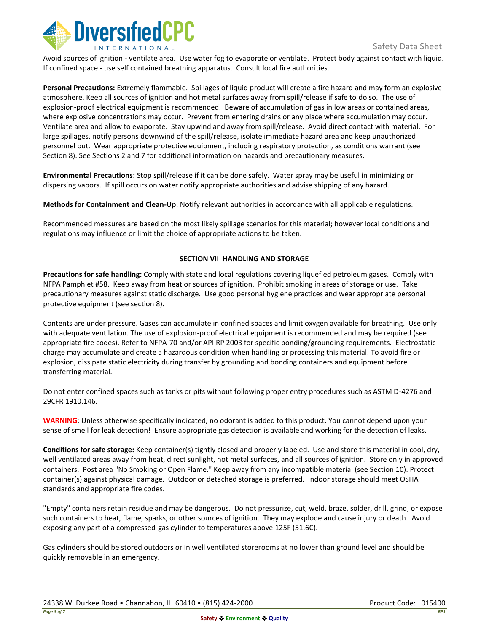

Avoid sources of ignition - ventilate area. Use water fog to evaporate or ventilate. Protect body against contact with liquid. If confined space - use self contained breathing apparatus. Consult local fire authorities.

**Personal Precautions:** Extremely flammable. Spillages of liquid product will create a fire hazard and may form an explosive atmosphere. Keep all sources of ignition and hot metal surfaces away from spill/release if safe to do so. The use of explosion-proof electrical equipment is recommended. Beware of accumulation of gas in low areas or contained areas, where explosive concentrations may occur. Prevent from entering drains or any place where accumulation may occur. Ventilate area and allow to evaporate. Stay upwind and away from spill/release. Avoid direct contact with material. For large spillages, notify persons downwind of the spill/release, isolate immediate hazard area and keep unauthorized personnel out. Wear appropriate protective equipment, including respiratory protection, as conditions warrant (see Section 8). See Sections 2 and 7 for additional information on hazards and precautionary measures.

**Environmental Precautions:** Stop spill/release if it can be done safely. Water spray may be useful in minimizing or dispersing vapors. If spill occurs on water notify appropriate authorities and advise shipping of any hazard.

**Methods for Containment and Clean-Up**: Notify relevant authorities in accordance with all applicable regulations.

Recommended measures are based on the most likely spillage scenarios for this material; however local conditions and regulations may influence or limit the choice of appropriate actions to be taken.

## **SECTION VII HANDLING AND STORAGE**

**Precautions for safe handling:** Comply with state and local regulations covering liquefied petroleum gases. Comply with NFPA Pamphlet #58. Keep away from heat or sources of ignition. Prohibit smoking in areas of storage or use. Take precautionary measures against static discharge. Use good personal hygiene practices and wear appropriate personal protective equipment (see section 8).

Contents are under pressure. Gases can accumulate in confined spaces and limit oxygen available for breathing. Use only with adequate ventilation. The use of explosion-proof electrical equipment is recommended and may be required (see appropriate fire codes). Refer to NFPA-70 and/or API RP 2003 for specific bonding/grounding requirements. Electrostatic charge may accumulate and create a hazardous condition when handling or processing this material. To avoid fire or explosion, dissipate static electricity during transfer by grounding and bonding containers and equipment before transferring material.

Do not enter confined spaces such as tanks or pits without following proper entry procedures such as ASTM D-4276 and 29CFR 1910.146.

**WARNING**: Unless otherwise specifically indicated, no odorant is added to this product. You cannot depend upon your sense of smell for leak detection! Ensure appropriate gas detection is available and working for the detection of leaks.

**Conditions for safe storage:** Keep container(s) tightly closed and properly labeled. Use and store this material in cool, dry, well ventilated areas away from heat, direct sunlight, hot metal surfaces, and all sources of ignition. Store only in approved containers. Post area "No Smoking or Open Flame." Keep away from any incompatible material (see Section 10). Protect container(s) against physical damage. Outdoor or detached storage is preferred. Indoor storage should meet OSHA standards and appropriate fire codes.

"Empty" containers retain residue and may be dangerous. Do not pressurize, cut, weld, braze, solder, drill, grind, or expose such containers to heat, flame, sparks, or other sources of ignition. They may explode and cause injury or death. Avoid exposing any part of a compressed-gas cylinder to temperatures above 125F (51.6C).

Gas cylinders should be stored outdoors or in well ventilated storerooms at no lower than ground level and should be quickly removable in an emergency.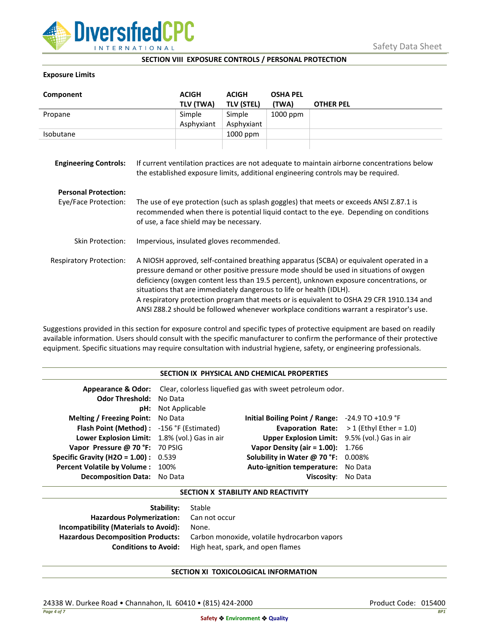

### **SECTION VIII EXPOSURE CONTROLS / PERSONAL PROTECTION**

## **Exposure Limits**

| Component                      |                                                                                                                                                                                                                                                                                                                                                                                                                                                                                                                                            | <b>ACIGH</b><br>TLV (TWA) | <b>ACIGH</b><br><b>TLV (STEL)</b> | <b>OSHA PEL</b><br>(TWA) | <b>OTHER PEL</b> |
|--------------------------------|--------------------------------------------------------------------------------------------------------------------------------------------------------------------------------------------------------------------------------------------------------------------------------------------------------------------------------------------------------------------------------------------------------------------------------------------------------------------------------------------------------------------------------------------|---------------------------|-----------------------------------|--------------------------|------------------|
| Propane                        |                                                                                                                                                                                                                                                                                                                                                                                                                                                                                                                                            | Simple                    | Simple                            | 1000 ppm                 |                  |
|                                |                                                                                                                                                                                                                                                                                                                                                                                                                                                                                                                                            | Asphyxiant                | Asphyxiant                        |                          |                  |
| Isobutane                      |                                                                                                                                                                                                                                                                                                                                                                                                                                                                                                                                            |                           | 1000 ppm                          |                          |                  |
| <b>Engineering Controls:</b>   | If current ventilation practices are not adequate to maintain airborne concentrations below<br>the established exposure limits, additional engineering controls may be required.                                                                                                                                                                                                                                                                                                                                                           |                           |                                   |                          |                  |
| <b>Personal Protection:</b>    |                                                                                                                                                                                                                                                                                                                                                                                                                                                                                                                                            |                           |                                   |                          |                  |
| Eye/Face Protection:           | The use of eye protection (such as splash goggles) that meets or exceeds ANSI Z.87.1 is<br>recommended when there is potential liquid contact to the eye. Depending on conditions<br>of use, a face shield may be necessary.                                                                                                                                                                                                                                                                                                               |                           |                                   |                          |                  |
| Skin Protection:               | Impervious, insulated gloves recommended.                                                                                                                                                                                                                                                                                                                                                                                                                                                                                                  |                           |                                   |                          |                  |
| <b>Respiratory Protection:</b> | A NIOSH approved, self-contained breathing apparatus (SCBA) or equivalent operated in a<br>pressure demand or other positive pressure mode should be used in situations of oxygen<br>deficiency (oxygen content less than 19.5 percent), unknown exposure concentrations, or<br>situations that are immediately dangerous to life or health (IDLH).<br>A respiratory protection program that meets or is equivalent to OSHA 29 CFR 1910.134 and<br>ANSI Z88.2 should be followed whenever workplace conditions warrant a respirator's use. |                           |                                   |                          |                  |

Suggestions provided in this section for exposure control and specific types of protective equipment are based on readily available information. Users should consult with the specific manufacturer to confirm the performance of their protective equipment. Specific situations may require consultation with industrial hygiene, safety, or engineering professionals.

### **SECTION IX PHYSICAL AND CHEMICAL PROPERTIES**

| <b>Odor Threshold: No Data</b>                | <b>pH:</b> Not Applicable | <b>Appearance &amp; Odor:</b> Clear, colorless liquefied gas with sweet petroleum odor. |                                                   |
|-----------------------------------------------|---------------------------|-----------------------------------------------------------------------------------------|---------------------------------------------------|
| <b>Melting / Freezing Point:</b> No Data      |                           | Initial Boiling Point / Range: $-24.9$ TO $+10.9$ °F                                    |                                                   |
| Flash Point (Method): -156 °F (Estimated)     |                           |                                                                                         | <b>Evaporation Rate:</b> $>1$ (Ethyl Ether = 1.0) |
| Lower Explosion Limit: 1.8% (vol.) Gas in air |                           | Upper Explosion Limit: 9.5% (vol.) Gas in air                                           |                                                   |
| Vapor Pressure @ 70 °F: 70 PSIG               |                           | <b>Vapor Density (air = 1.00):</b> 1.766                                                |                                                   |
| <b>Specific Gravity (H2O = 1.00):</b> $0.539$ |                           | Solubility in Water @ 70 °F: 0.008%                                                     |                                                   |
| Percent Volatile by Volume: 100%              |                           | Auto-ignition temperature: No Data                                                      |                                                   |
| <b>Decomposition Data:</b> No Data            |                           | Viscosity: No Data                                                                      |                                                   |

### **SECTION X STABILITY AND REACTIVITY**

| Stable                                       |
|----------------------------------------------|
| Hazardous Polymerization: Can not occur      |
| None.                                        |
| Carbon monoxide, volatile hydrocarbon vapors |
| High heat, spark, and open flames            |
|                                              |

# **SECTION XI TOXICOLOGICAL INFORMATION**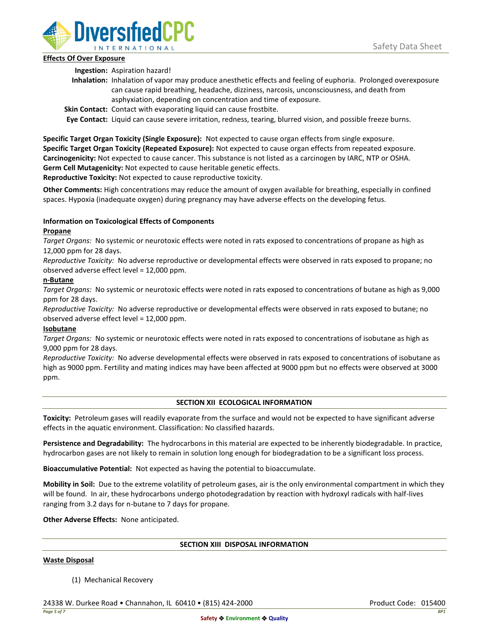

## **Effects Of Over Exposure**

**Ingestion:** Aspiration hazard!

- **Inhalation:** Inhalation of vapor may produce anesthetic effects and feeling of euphoria. Prolonged overexposure can cause rapid breathing, headache, dizziness, narcosis, unconsciousness, and death from asphyxiation, depending on concentration and time of exposure.
- **Skin Contact:** Contact with evaporating liquid can cause frostbite.

**Eye Contact:** Liquid can cause severe irritation, redness, tearing, blurred vision, and possible freeze burns.

**Specific Target Organ Toxicity (Single Exposure):** Not expected to cause organ effects from single exposure. **Specific Target Organ Toxicity (Repeated Exposure):** Not expected to cause organ effects from repeated exposure. **Carcinogenicity:** Not expected to cause cancer. This substance is not listed as a carcinogen by IARC, NTP or OSHA. **Germ Cell Mutagenicity:** Not expected to cause heritable genetic effects.

**Reproductive Toxicity:** Not expected to cause reproductive toxicity.

**Other Comments:** High concentrations may reduce the amount of oxygen available for breathing, especially in confined spaces. Hypoxia (inadequate oxygen) during pregnancy may have adverse effects on the developing fetus.

# **Information on Toxicological Effects of Components**

## **Propane**

*Target Organs:* No systemic or neurotoxic effects were noted in rats exposed to concentrations of propane as high as 12,000 ppm for 28 days.

*Reproductive Toxicity:* No adverse reproductive or developmental effects were observed in rats exposed to propane; no observed adverse effect level = 12,000 ppm.

## **n-Butane**

*Target Organs:* No systemic or neurotoxic effects were noted in rats exposed to concentrations of butane as high as 9,000 ppm for 28 days.

*Reproductive Toxicity:* No adverse reproductive or developmental effects were observed in rats exposed to butane; no observed adverse effect level = 12,000 ppm.

# **Isobutane**

*Target Organs:* No systemic or neurotoxic effects were noted in rats exposed to concentrations of isobutane as high as 9,000 ppm for 28 days.

*Reproductive Toxicity:* No adverse developmental effects were observed in rats exposed to concentrations of isobutane as high as 9000 ppm. Fertility and mating indices may have been affected at 9000 ppm but no effects were observed at 3000 ppm.

# **SECTION XII ECOLOGICAL INFORMATION**

**Toxicity:** Petroleum gases will readily evaporate from the surface and would not be expected to have significant adverse effects in the aquatic environment. Classification: No classified hazards.

**Persistence and Degradability:** The hydrocarbons in this material are expected to be inherently biodegradable. In practice, hydrocarbon gases are not likely to remain in solution long enough for biodegradation to be a significant loss process.

**Bioaccumulative Potential:** Not expected as having the potential to bioaccumulate.

**Mobility in Soil:** Due to the extreme volatility of petroleum gases, air is the only environmental compartment in which they will be found. In air, these hydrocarbons undergo photodegradation by reaction with hydroxyl radicals with half-lives ranging from 3.2 days for n-butane to 7 days for propane.

**Other Adverse Effects:** None anticipated.

### **SECTION XIII DISPOSAL INFORMATION**

### **Waste Disposal**

(1) Mechanical Recovery

24338 W. Durkee Road • Channahon, IL 60410 • (815) 424-2000 Product Code: 015400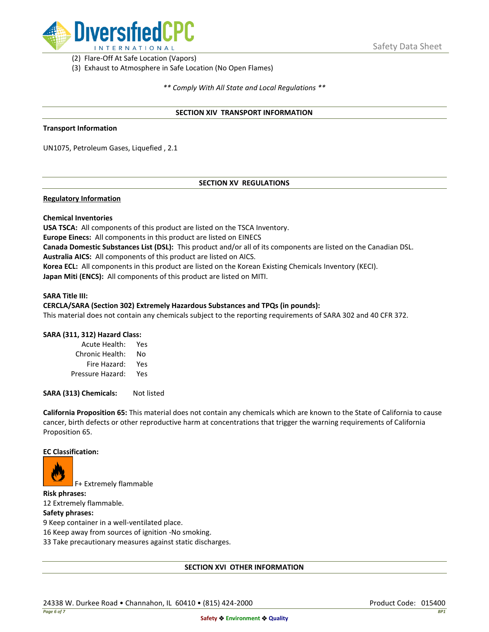

(2) Flare-Off At Safe Location (Vapors)

(3) Exhaust to Atmosphere in Safe Location (No Open Flames)

*\*\* Comply With All State and Local Regulations \*\**

### **SECTION XIV TRANSPORT INFORMATION**

#### **Transport Information**

UN1075, Petroleum Gases, Liquefied , 2.1

## **SECTION XV REGULATIONS**

### **Regulatory Information**

### **Chemical Inventories**

**USA TSCA:** All components of this product are listed on the TSCA Inventory. **Europe Einecs:** All components in this product are listed on EINECS **Canada Domestic Substances List (DSL):** This product and/or all of its components are listed on the Canadian DSL. **Australia AICS:** All components of this product are listed on AICS. **Korea ECL:** All components in this product are listed on the Korean Existing Chemicals Inventory (KECI). **Japan Miti (ENCS):** All components of this product are listed on MITI.

#### **SARA Title III:**

### **CERCLA/SARA (Section 302) Extremely Hazardous Substances and TPQs (in pounds):**

This material does not contain any chemicals subject to the reporting requirements of SARA 302 and 40 CFR 372.

### **SARA (311, 312) Hazard Class:**

| Acute Health:    | Yes |
|------------------|-----|
| Chronic Health:  | No  |
| Fire Hazard:     | Yes |
| Pressure Hazard: | Yes |

**SARA (313) Chemicals:** Not listed

**California Proposition 65:** This material does not contain any chemicals which are known to the State of California to cause cancer, birth defects or other reproductive harm at concentrations that trigger the warning requirements of California Proposition 65.

#### **EC Classification:**



F+ Extremely flammable

**Risk phrases:** 12 Extremely flammable.

## **Safety phrases:**

9 Keep container in a well-ventilated place.

16 Keep away from sources of ignition -No smoking.

33 Take precautionary measures against static discharges.

### **SECTION XVI OTHER INFORMATION**